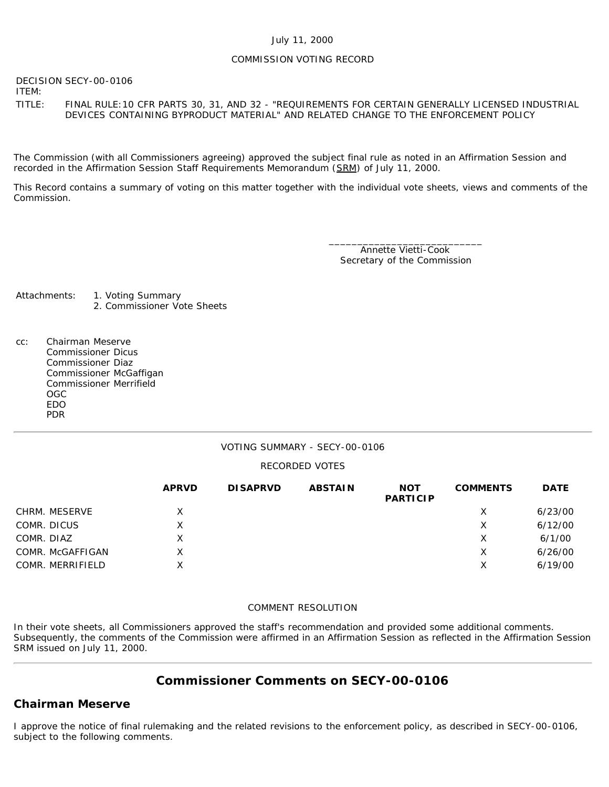#### July 11, 2000

## COMMISSION VOTING RECORD

DECISION SECY-00-0106

ITEM:

TITLE: FINAL RULE:10 CFR PARTS 30, 31, AND 32 - "REQUIREMENTS FOR CERTAIN GENERALLY LICENSED INDUSTRIAL DEVICES CONTAINING BYPRODUCT MATERIAL" AND RELATED CHANGE TO THE ENFORCEMENT POLICY

The Commission (with all Commissioners agreeing) approved the subject final rule as noted in an Affirmation Session and recorded in the Affirmation Session Staff Requirements Memorandum (SRM) of July 11, 2000.

This Record contains a summary of voting on this matter together with the individual vote sheets, views and comments of the Commission.

> \_\_\_\_\_\_\_\_\_\_\_\_\_\_\_\_\_\_\_\_\_\_\_\_\_\_\_ Annette Vietti-Cook Secretary of the Commission

- Attachments: 1. Voting Summary 2. Commissioner Vote Sheets
- cc: Chairman Meserve Commissioner Dicus Commissioner Diaz Commissioner McGaffigan Commissioner Merrifield OGC EDO PDR

## VOTING SUMMARY - SECY-00-0106

## RECORDED VOTES

|                  | <b>APRVD</b> | <b>DISAPRVD</b> | <b>ABSTAIN</b> | <b>NOT</b><br><b>PARTICIP</b> | <b>COMMENTS</b> | <b>DATE</b> |
|------------------|--------------|-----------------|----------------|-------------------------------|-----------------|-------------|
| CHRM. MESERVE    | X            |                 |                |                               | Х               | 6/23/00     |
| COMR. DICUS      | Χ            |                 |                |                               | X               | 6/12/00     |
| COMR. DIAZ       | X            |                 |                |                               | X               | 6/1/00      |
| COMR. McGAFFIGAN | Χ            |                 |                |                               | х               | 6/26/00     |
| COMR. MERRIFIELD | Χ            |                 |                |                               | Х               | 6/19/00     |

#### COMMENT RESOLUTION

In their vote sheets, all Commissioners approved the staff's recommendation and provided some additional comments. Subsequently, the comments of the Commission were affirmed in an Affirmation Session as reflected in the Affirmation Session SRM issued on July 11, 2000.

# **Commissioner Comments on SECY-00-0106**

## **Chairman Meserve**

I approve the notice of final rulemaking and the related revisions to the enforcement policy, as described in SECY-00-0106, subject to the following comments.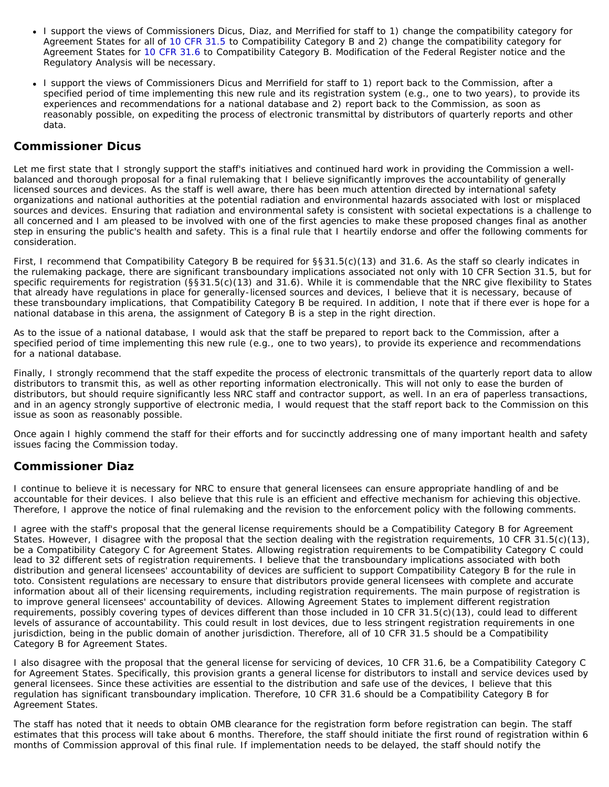- I support the views of Commissioners Dicus, Diaz, and Merrified for staff to 1) change the compatibility category for Agreement States for all of [10 CFR 31.5](http://www.nrc.gov/reading-rm/doc-collections/cfr/part031/part031-0005.html) to Compatibility Category B and 2) change the compatibility category for Agreement States for [10 CFR 31.6](http://www.nrc.gov/reading-rm/doc-collections/cfr/part031/part031-0006.html) to Compatibility Category B. Modification of the Federal Register notice and the Regulatory Analysis will be necessary.
- I support the views of Commissioners Dicus and Merrifield for staff to 1) report back to the Commission, after a specified period of time implementing this new rule and its registration system (e.g., one to two years), to provide its experiences and recommendations for a national database and 2) report back to the Commission, as soon as reasonably possible, on expediting the process of electronic transmittal by distributors of quarterly reports and other data.

# **Commissioner Dicus**

Let me first state that I strongly support the staff's initiatives and continued hard work in providing the Commission a wellbalanced and thorough proposal for a final rulemaking that I believe significantly improves the accountability of generally licensed sources and devices. As the staff is well aware, there has been much attention directed by international safety organizations and national authorities at the potential radiation and environmental hazards associated with lost or misplaced sources and devices. Ensuring that radiation and environmental safety is consistent with societal expectations is a challenge to all concerned and I am pleased to be involved with one of the first agencies to make these proposed changes final as another step in ensuring the public's health and safety. This is a final rule that I heartily endorse and offer the following comments for consideration.

First, I recommend that Compatibility Category B be required for §§31.5(c)(13) and 31.6. As the staff so clearly indicates in the rulemaking package, there are significant transboundary implications associated not only with 10 CFR Section 31.5, but for specific requirements for registration (§§31.5(c)(13) and 31.6). While it is commendable that the NRC give flexibility to States that already have regulations in place for generally-licensed sources and devices, I believe that it is necessary, because of these transboundary implications, that Compatibility Category B be required. In addition, I note that if there ever is hope for a national database in this arena, the assignment of Category B is a step in the right direction.

As to the issue of a national database, I would ask that the staff be prepared to report back to the Commission, after a specified period of time implementing this new rule (e.g., one to two years), to provide its experience and recommendations for a national database.

Finally, I strongly recommend that the staff expedite the process of electronic transmittals of the quarterly report data to allow distributors to transmit this, as well as other reporting information electronically. This will not only to ease the burden of distributors, but should require significantly less NRC staff and contractor support, as well. In an era of paperless transactions, and in an agency strongly supportive of electronic media, I would request that the staff report back to the Commission on this issue as soon as reasonably possible.

Once again I highly commend the staff for their efforts and for succinctly addressing one of many important health and safety issues facing the Commission today.

# **Commissioner Diaz**

I continue to believe it is necessary for NRC to ensure that general licensees can ensure appropriate handling of and be accountable for their devices. I also believe that this rule is an efficient and effective mechanism for achieving this objective. Therefore, I approve the notice of final rulemaking and the revision to the enforcement policy with the following comments.

I agree with the staff's proposal that the general license requirements should be a Compatibility Category B for Agreement States. However, I disagree with the proposal that the section dealing with the registration requirements, 10 CFR 31.5(c)(13), be a Compatibility Category C for Agreement States. Allowing registration requirements to be Compatibility Category C could lead to 32 different sets of registration requirements. I believe that the transboundary implications associated with both distribution and general licensees' accountability of devices are sufficient to support Compatibility Category B for the rule in toto. Consistent regulations are necessary to ensure that distributors provide general licensees with complete and accurate information about all of their licensing requirements, including registration requirements. The main purpose of registration is to improve general licensees' accountability of devices. Allowing Agreement States to implement different registration requirements, possibly covering types of devices different than those included in 10 CFR 31.5(c)(13), could lead to different levels of assurance of accountability. This could result in lost devices, due to less stringent registration requirements in one jurisdiction, being in the public domain of another jurisdiction. Therefore, all of 10 CFR 31.5 should be a Compatibility Category B for Agreement States.

I also disagree with the proposal that the general license for servicing of devices, 10 CFR 31.6, be a Compatibility Category C for Agreement States. Specifically, this provision grants a general license for distributors to install and service devices used by general licensees. Since these activities are essential to the distribution and safe use of the devices, I believe that this regulation has significant transboundary implication. Therefore, 10 CFR 31.6 should be a Compatibility Category B for Agreement States.

The staff has noted that it needs to obtain OMB clearance for the registration form before registration can begin. The staff estimates that this process will take about 6 months. Therefore, the staff should initiate the first round of registration within 6 months of Commission approval of this final rule. If implementation needs to be delayed, the staff should notify the